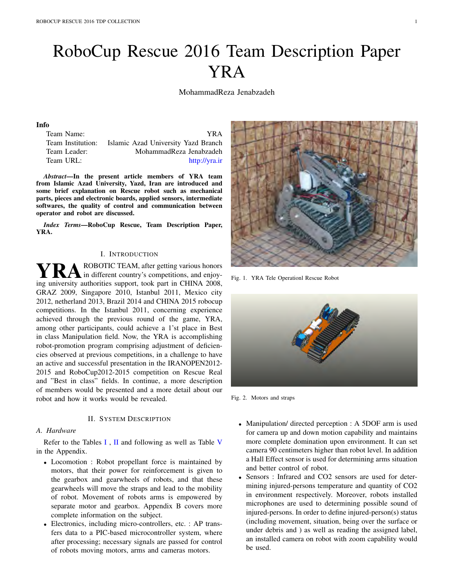# RoboCup Rescue 2016 Team Description Paper YRA

MohammadReza Jenabzadeh

## Info

| Team Name:        | YR A                                |
|-------------------|-------------------------------------|
| Team Institution: | Islamic Azad University Yazd Branch |
| Team Leader:      | MohammadReza Jenabzadeh             |
| Team URL:         | http://yra.ir                       |

*Abstract*—In the present article members of YRA team from Islamic Azad University, Yazd, Iran are introduced and some brief explanation on Rescue robot such as mechanical parts, pieces and electronic boards, applied sensors, intermediate softwares, the quality of control and communication between operator and robot are discussed.

*Index Terms*—RoboCup Rescue, Team Description Paper, YRA.

## I. INTRODUCTION

**YRA** ROBOTIC TEAM, after getting various honors<br>ing university outborities support, took part in CHINA 2008 ing university authorities support, took part in CHINA 2008, GRAZ 2009, Singapore 2010, Istanbul 2011, Mexico city 2012, netherland 2013, Brazil 2014 and CHINA 2015 robocup competitions. In the Istanbul 2011, concerning experience achieved through the previous round of the game, YRA, among other participants, could achieve a 1'st place in Best in class Manipulation field. Now, the YRA is accomplishing robot-promotion program comprising adjustment of deficiencies observed at previous competitions, in a challenge to have an active and successful presentation in the IRANOPEN2012- 2015 and RoboCup2012-2015 competition on Rescue Real and "Best in class" fields. In continue, a more description of members would be presented and a more detail about our robot and how it works would be revealed.

# II. SYSTEM DESCRIPTION

## *A. Hardware*

Refer to the Tables  $I$ ,  $II$  and following as well as Table V in the Appendix.

- *•* Locomotion : Robot propellant force is maintained by motors, that their power for reinforcement is given to the gearbox and gearwheels of robots, and that these gearwheels will move the straps and lead to the mobility of robot. Movement of robots arms is empowered by separate motor and gearbox. Appendix B covers more complete information on the subject.
- Electronics, including micro-controllers, etc. : AP transfers data to a PIC-based microcontroller system, where after processing; necessary signals are passed for control of robots moving motors, arms and cameras motors.



Fig. 1. YRA Tele Operationl Rescue Robot



Fig. 2. Motors and straps

- *•* Manipulation/ directed perception : A 5DOF arm is used for camera up and down motion capability and maintains more complete domination upon environment. It can set camera 90 centimeters higher than robot level. In addition a Hall Effect sensor is used for determining arms situation and better control of robot.
- Sensors : Infrared and CO2 sensors are used for determining injured-persons temperature and quantity of CO2 in environment respectively. Moreover, robots installed microphones are used to determining possible sound of injured-persons. In order to define injured-person(s) status (including movement, situation, being over the surface or under debris and ) as well as reading the assigned label, an installed camera on robot with zoom capability would be used.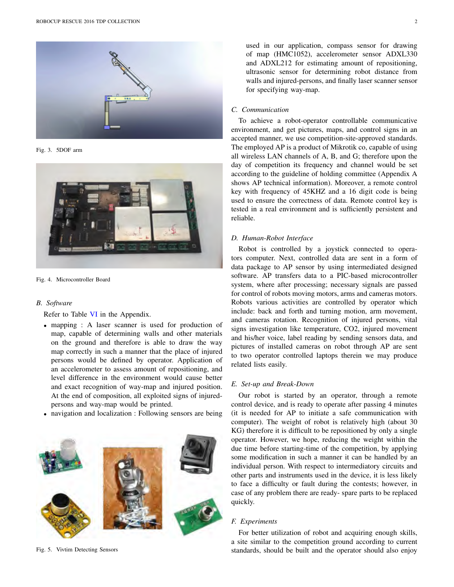

Fig. 3. 5DOF arm



Fig. 4. Microcontroller Board

## *B. Software*

Refer to Table VI in the Appendix.

- *•* mapping : A laser scanner is used for production of map, capable of determining walls and other materials on the ground and therefore is able to draw the way map correctly in such a manner that the place of injured persons would be defined by operator. Application of an accelerometer to assess amount of repositioning, and level difference in the environment would cause better and exact recognition of way-map and injured position. At the end of composition, all exploited signs of injuredpersons and way-map would be printed.
- *•* navigation and localization : Following sensors are being



Fig. 5. Vivtim Detecting Sensors

used in our application, compass sensor for drawing of map (HMC1052), accelerometer sensor ADXL330 and ADXL212 for estimating amount of repositioning, ultrasonic sensor for determining robot distance from walls and injured-persons, and finally laser scanner sensor for specifying way-map.

## *C. Communication*

To achieve a robot-operator controllable communicative environment, and get pictures, maps, and control signs in an accepted manner, we use competition-site-approved standards. The employed AP is a product of Mikrotik co, capable of using all wireless LAN channels of A, B, and G; therefore upon the day of competition its frequency and channel would be set according to the guideline of holding committee (Appendix A shows AP technical information). Moreover, a remote control key with frequency of 45KHZ and a 16 digit code is being used to ensure the correctness of data. Remote control key is tested in a real environment and is sufficiently persistent and reliable.

#### *D. Human-Robot Interface*

Robot is controlled by a joystick connected to operators computer. Next, controlled data are sent in a form of data package to AP sensor by using intermediated designed software. AP transfers data to a PIC-based microcontroller system, where after processing; necessary signals are passed for control of robots moving motors, arms and cameras motors. Robots various activities are controlled by operator which include: back and forth and turning motion, arm movement, and cameras rotation. Recognition of injured persons, vital signs investigation like temperature, CO2, injured movement and his/her voice, label reading by sending sensors data, and pictures of installed cameras on robot through AP are sent to two operator controlled laptops therein we may produce related lists easily.

## *E. Set-up and Break-Down*

Our robot is started by an operator, through a remote control device, and is ready to operate after passing 4 minutes (it is needed for AP to initiate a safe communication with computer). The weight of robot is relatively high (about 30 KG) therefore it is difficult to be repositioned by only a single operator. However, we hope, reducing the weight within the due time before starting-time of the competition, by applying some modification in such a manner it can be handled by an individual person. With respect to intermediatory circuits and other parts and instruments used in the device, it is less likely to face a difficulty or fault during the contests; however, in case of any problem there are ready- spare parts to be replaced quickly.

## *F. Experiments*

For better utilization of robot and acquiring enough skills, a site similar to the competition ground according to current standards, should be built and the operator should also enjoy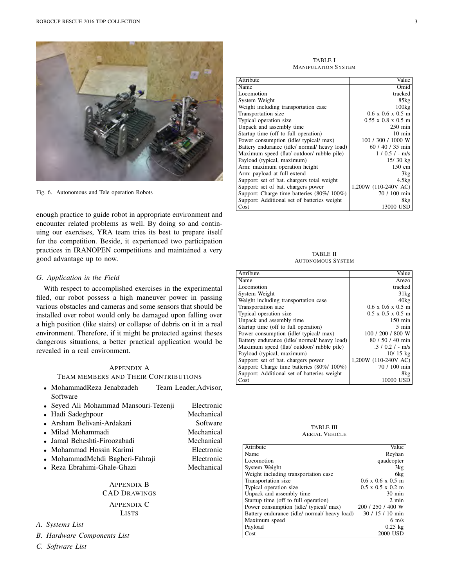

Fig. 6. Autonomous and Tele operation Robots

enough practice to guide robot in appropriate environment and encounter related problems as well. By doing so and continuing our exercises, YRA team tries its best to prepare itself for the competition. Beside, it experienced two participation practices in IRANOPEN competitions and maintained a very good advantage up to now.

## *G. Application in the Field*

With respect to accomplished exercises in the experimental filed, our robot possess a high maneuver power in passing various obstacles and cameras and some sensors that should be installed over robot would only be damaged upon falling over a high position (like stairs) or collapse of debris on it in a real environment. Therefore, if it might be protected against theses dangerous situations, a better practical application would be revealed in a real environment.

# APPENDIX A TEAM MEMBERS AND THEIR CONTRIBUTIONS

- *•* MohammadReza Jenabzadeh Team Leader,Advisor, **Software**
- *•* Seyed Ali Mohammad Mansouri-Tezenji Electronic
- 
- Arsham Belivani-Ardakani
- 
- 
- 
- MohammadMehdi Bagheri-Fahraji **Electronic**<br>• Reza Ebrahimi-Ghale-Ghazi **Mechanical**
- Reza Ebrahimi-Ghale-Ghazi

APPENDIX B CAD DRAWINGS APPENDIX C LISTS

- *A. Systems List*
- *B. Hardware Components List*
- *C. Software List*

• Hadi Sadeghpour **1988** Mechanical **• Arsham Belivani-Ardakani 1988** Software • Milad Mohammadi **1986**<br>• Jamal Beheshti-Firoozabadi **Mechanical** *•* Jamal Beheshti-Firoozabadi Mechanical *•* Mohammad Hossin Karimi Electronic

TABLE I MANIPULATION SYSTEM

| Attribute                                    | Value                                  |
|----------------------------------------------|----------------------------------------|
| Name                                         | Omid                                   |
| Locomotion                                   | tracked                                |
| System Weight                                | 85kg                                   |
| Weight including transportation case         | 100kg                                  |
| Transportation size                          | $0.6 \times 0.6 \times 0.5$ m          |
| Typical operation size                       | $0.55 \times 0.8 \times 0.5 \text{ m}$ |
| Unpack and assembly time                     | $250$ min                              |
| Startup time (off to full operation)         | $10 \text{ min}$                       |
| Power consumption (idle/ typical/ max)       | 100 / 300 / 1000 W                     |
| Battery endurance (idle/ normal/ heavy load) | 60 / 40 / 35 min                       |
| Maximum speed (flat/ outdoor/ rubble pile)   | $1/0.5/-$ m/s                          |
| Payload (typical, maximum)                   | 15/30 kg                               |
| Arm: maximum operation height                | 150 cm                                 |
| Arm: payload at full extend                  | 3kg                                    |
| Support: set of bat. chargers total weight   | 4.5kg                                  |
| Support: set of bat. chargers power          | 1,200W (110-240V AC)                   |
| Support: Charge time batteries (80%/ 100%)   | 70 / 100 min                           |
| Support: Additional set of batteries weight  | 8kg                                    |
| Cost                                         | 13000 USD                              |

TABLE II AUTONOMOUS SYSTEM

| Attribute                                    | Value                         |
|----------------------------------------------|-------------------------------|
| Name                                         | Arezo                         |
| Locomotion                                   | tracked                       |
| System Weight                                | 31kg                          |
| Weight including transportation case         | 40kg                          |
| Transportation size                          | $0.6 \times 0.6 \times 0.5$ m |
| Typical operation size.                      | $0.5 \times 0.5 \times 0.5$ m |
| Unpack and assembly time                     | $150 \text{ min}$             |
| Startup time (off to full operation)         | 5 min                         |
| Power consumption (idle/ typical/ max)       | 100 / 200 / 800 W             |
| Battery endurance (idle/ normal/ heavy load) | 80 / 50 / 40 min              |
| Maximum speed (flat/ outdoor/ rubble pile)   | $.3 / 0.2 / - m/s$            |
| Payload (typical, maximum)                   | $10/15$ kg                    |
| Support: set of bat. chargers power          | 1,200W (110-240V AC)          |
| Support: Charge time batteries (80%/100%)    | 70 / 100 min                  |
| Support: Additional set of batteries weight  | 8kg                           |
| Cost                                         | 10000 USD                     |

TABLE III AERIAL VEHICLE

| Attribute                                    | Value                                 |
|----------------------------------------------|---------------------------------------|
| Name                                         | Reyhan                                |
| Locomotion                                   | quadcopter                            |
| System Weight                                | 3kg                                   |
| Weight including transportation case         | 6kg                                   |
| Transportation size                          | $0.6 \times 0.6 \times 0.5$ m         |
| Typical operation size                       | $0.5 \times 0.5 \times 0.2 \text{ m}$ |
| Unpack and assembly time                     | $30 \text{ min}$                      |
| Startup time (off to full operation)         | $2 \text{ min}$                       |
| Power consumption (idle/ typical/ max)       | 200 / 250 / 400 W                     |
| Battery endurance (idle/ normal/ heavy load) | 30 / 15 / 10 min                      |
| Maximum speed                                | $6 \frac{\text{m}}{\text{s}}$         |
| Payload                                      | $0.25$ kg                             |
| Cost                                         | 2000 USD                              |